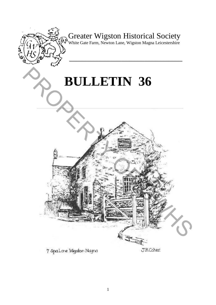

# Greater Wigston Historical Society

White Gate Farm, Newton Lane, Wigston Magna Leicestershire

**\_\_\_\_\_\_\_\_\_\_\_\_\_\_\_\_\_\_\_\_\_\_\_\_\_\_\_\_\_\_\_\_\_\_\_\_\_\_\_** 

# **BULLETIN 36**

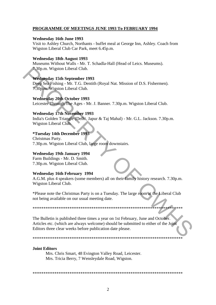# **PROGRAMME OF MEETINGS JUNE 1993 To FEBRUARY 1994**

# **Wednesday 16th June 1993**

Visit to Ashley Church, Northants - buffet meal at George Inn, Ashley. Coach from Wigston Liberal Club Car Park, meet 6.45p.m.

# **Wednesday 18th August 1993**

Museums Without Walls - Mr. T. Schadla-Hall (Head of Leics. Museums). 7.30p.m. Wigston Liberal Club.

# **Wednesday 15th September 1993**

Deep Sea Fishing - Mr. T.G. Dentith (Royal Nat. Mission of D.S. Fishermen). 7.30p.m. Wigston Liberal Club.

# **Wednesday 20th October 1993**

Leicester Through The Ages - Mr. J. Banner. 7.30p.m. Wigston Liberal Club.

# **Wednesday 17th November 1993**

India's Golden Triangle (Delhi, Japur & Taj Mahal) - Mr. G.L. Jackson. 7.30p.m. Wigston Liberal Club.

# *\*Tuesday 14th December 1993*

Christmas Party. 7.30p.m. Wigston Liberal Club, large room downstairs.

# **Wednesday 19th January 1994**

Farm Buildings - Mr. D. Smith. 7.30p.m. Wigston Liberal Club.

# **Wednesday 16th February 1994**

A.G.M. plus 4 speakers (some members) all on their family history research. 7.30p.m. Wigston Liberal Club.

\*Please note the Christmas Party is on a Tuesday. The large room at the Liberal Club not being available on our usual meeting date.

The Bulletin is published three times a year on 1st February, June and October. Articles etc. (which are always welcome) should be submitted to either of the Joint Editors three clear weeks before publication date please.

# **Joint Editors**

Mrs. Chris Smart, 48 Evington Valley Road, Leicester. Mrs. Tricia Berry, 7 Wensleydale Road, Wigston.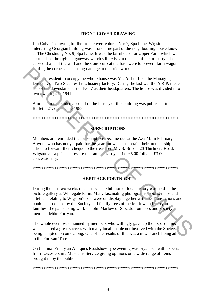# **FRONT COVER DRAWING**

Jim Colver's drawing for the front cover features No: 7, Spa Lane, Wigston. This interesting Georgian building was at one time part of the neighbouring house known as The Chestnuts, No: 9, Spa Lane. It was the farmhouse for Upper Farm which was approached through the gateway which still exists to the side of the property. The curved shape of the wall and the stone curb at the base were to prevent farm wagons cutting the corner and causing damage to the brickwork.

The last resident to occupy the whole house was Mr. Arthur Lee, the Managing Director, of Two Steeples Ltd., hosiery factory. During the last war the A.R.P. made use of the downstairs part of No: 7 as their headquarters. The house was divided into two dwellings in 1941.

A much more detailed account of the history of this building was published in Bulletin 21, dated June 1988.

# **SUBSCRIPTIONS**

Members are reminded that subscriptions became due at the A.G.M. in February. Anyone who has not yet paid for the year but wishes to retain their membership is asked to forward their cheque to the treasurer, Mr. B. Bilson, 23 Thirlmere Road, Wigston a.s.a.p. The rates are the same as last year i.e. £5 00 full and £3 00 concessionary.

# **HERITAGE FORTNIGHT**

During the last two weeks of January an exhibition of local history was held in the picture gallery at Whitegate Farm. Many fascinating photographs, books, maps and artefacts relating to Wigston's past were on display together with the Transactions and booklets produced by the Society and family trees of the Marlow and Forryan families, the painstaking work of John Marlow of Stockton-on-Tees and Society member, Mike Forryan.

The whole event was manned by members who willingly gave up their spare time. It was declared a great success with many local people not involved with the Society being tempted to come along. One of the results of this was a new branch being added to the Forryan 'Tree'.

On the final Friday an Antiques Roadshow type evening was organised with experts from Leicestershire Museums Service giving opinions on a wide range of items brought in by the public.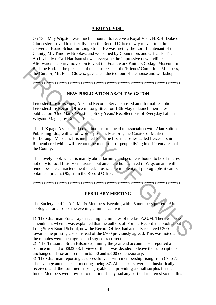# **A ROYAL VISIT**

On 13th May Wigston was much honoured to receive a Royal Visit. H.R.H. Duke of Gloucester arrived to officially open the Record Office newly moved into the converted Board School in Long Street. He was met by the Lord Lieutenant of the County, Mr. Timothy Brookes, and welcomed by Councillors and Officials. The Archivist, Mr. Carl Harrison showed everyone the impressive new facilities. Afterwards the party moved on to visit the Framework Knitters Cottage Museum in Bushloe End. In the presence of the Trustees and the 'Friends' Committee Members, the Curator, Mr. Peter Clowes, gave a conducted tour of the house and workshop.

# **NEW PUBLICATION AB.OUT WIGSTON**

Leicestershire Museums, Arts and Records Service hosted an informal reception at Leicestershire Record Office in Long Street on 18th May to launch their latest publication "One Man's Wigston", Sixty Years' Recollections of Everyday Life in Wigston Magna, by Duncan Lucas.

This 128 page A5 size soft cover book is produced in association with Alan Sutton Publishing Ltd., with a foreword by Steph. Mastoris, the Curator of Market Harborough Museum. It is intended to be the first in a series called Leicestershire Remembered which will recount the memories of people living in different areas of the County.

This lovely book which is mainly about farming and people is bound to be of interest not only to local history enthusiasts but anyone who has lived in Wigston and will remember the characters mentioned. Illustrated with plenty of photographs it can be obtained, price £6 95, from the Record Office.

# **FEBRUARY MEETING**

The Society held its A.G.M. & Members Evening with 45 members present. After apologies for absence the evening commenced with:-

1) The Chairman Edna Taylor reading the minutes of the last A.G.M. There was one amendment when it was explained that the authors of 'For the Record' the book about Long Street Board School, now the Record Office, had actually received £300 towards the printing costs instead of the £700 previously agreed. This was noted and the minutes were then agreed and signed as correct.

2) The Treasurer Brian Bilson explaining the year end accounts. He reported a balance in hand of £823 38. It view of this it was decided to leave the subscriptions unchanged. These are to remain £5 00 and £3 00 concessionary.

3) The Chairman reporting a successful year with membership rising from 67 to 75. The average attendance at meetings being 37. All speakers were enthusiastically received and the summer trips enjoyable and providing a small surplus for the funds. Members were invited to mention if they had any particular interest so that this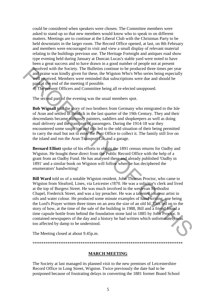could be considered when speakers were chosen. The Committee members were asked to stand up so that new members would know who to speak to on different matters. Meetings are to continue at the Liberal Club with the Christmas Party to be held downstairs in the larger room. The Record Office opened, at last, on 8th February and members were encouraged to visit and view a small display of relevant material relating to the buildings previous use. The Heritage Fortnight and antiques road show type evening held during January at Duncan Lucas's stable yard were noted to have been a great success and to have drawn in a good number of people not at present involved with the Society. The Bulletins continue to be produced three times per year and praise was kindly given for these, the Wigston Who's Who series being especially well received. Members were reminded that subscriptions were due and should be paid at the end of the meeting if possible.

4) The present Officers and Committee being all re-elected unopposed.

The second part of the evening was the usual members spot.

**Bob Wignall** told the story of two brothers from Germany who emigrated to the Isle of Aran and settled in Brodick in the last quarter of the 19th Century. They and their descendants became variously painters, saddlers and shopkeepers as well as doing mail delivery and the transport of passengers. During the 1914-18 war they encountered some suspicion and this led to the odd situation of their being permitted to carry the mail but not to enter the Post Office to collect it. The family still live on the island and run the Aran Transport Co. and a garage.

**Bernard Elliott** spoke of his efforts to obtain the 1891 census returns for Oadby and Wigston. He bought these direct from the Public Record Office with the help of a grant from an Oadby Fund. He has analysed these and already published 'Oadby in 1891' and a similar book on Wigston will follow when he has deciphered the enumerators' handwriting!

**Bill Ward** told us of a notable Wigston resident, John Thomas Proctor, who came to Wigston from Sleaford, Lines, via Leicester c!870. He was a solicitor's clerk and lived at the top of Burgess Street. He was much involved in the weslevan Methodist Chapel, Frederick Street, and was a lay preacher. He was a talented amateur artist in oils and water colour. He produced some minute examples of hand writing, one being the Lord's Prayer written three times on an area the size of an old Id. This led on to the story of how, at the time of the sale of the building in 1988, Bill and a friend found a time capsule bottle from behind the foundation stone laid in 1885 by John Proctor. It contained newspapers of the day and a history he had written which unfortunately was too affected by damp to be understood. Movel with the Society. The Bulletins continue to be produced three times per year.<br> **And praise was kindly given for these, the Wigston Who's Who series being especially<br>
well precived Members were reminded that subscrip** 

The Meeting closed at about 9.45p.m.

\*\*\*\*\*\*\*\*\*\*\*\*\*\*\*\*\*\*\*\*\*\*\*\*\*\*\*\*\*\*\*\*\*\*\*\*\*\*\*\*\*\*\*\*\*\*\*\*\*\*\*\*\*\*\*\*\*\*\*\*\*\*\*\*\*\*\*\*\*

# **MARCH MEETING**

The Society at last managed its planned visit to the new premises of Leicestershire Record Office in Long Street, Wigston. Twice previously the date had to be postponed because of frustrating delays in converting the 1881 former Board School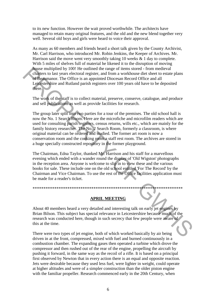to its new function. However the wait proved worthwhile. The architects have managed to retain many original features, and the old and the new blend together very well. Several old boys and girls were heard to voice their approval.

As many as 60 members and friends heard a short talk given by the County Archivist, Mr. Carl Harrison, who introduced Mr. Robin Jenkins, the Keeper of Archives. Mr. Harrison said the move went very smoothly taking 10 weeks  $\&$  1 day to complete. With 5 miles of shelves full of material he likened it to the disruption of moving house multiplied by 100! He outlined the range of items stored - from medieval charters to last years electoral register, and from a workhouse diet sheet to estate plans of Beaumanor. The Office is an appointed Diocesan Record Office and all Leicestershire and Rutland parish registers over 100 years old have to be deposited there.

The work of the staff is to collect material, preserve, conserve, catalogue, and produce and sell publications as well as provide facilities for research.

The group later split into two parties for a tour of the premises. The old school hall is now the No. 1 Search Room. Here are the microfiche and microfilm readers which are used for consulting parish registers, census returns, wills etc., which are mainly for the family history researcher. The No. 2 Search Room, formerly a classroom, is where original material can be ordered and studied. The former art room is now a conservation room and the cooking room a staff rest room. The archives are stored in a huge specially constructed repository in the former playground.

The Chairman, Edna Taylor, thanked Mr. Harrison and his staff for a marvellous evening which ended with a wander round the display of 'Old Wigston' photographs in the reception area. Anyone is welcome to slip in to view these and the various books for sale. These include one on the old school entitled 'For The Record' by the Chairman and Vice Chairman. To use the rest of the Office facilities application must be made for a reader's ticket.

# **APRIL MEETING**

About 40 members heard a very detailed and interesting talk on early jet engines by Brian Bilson. This subject has special relevance in Leicestershire because much of the research was conducted here, though in such secrecy that few people were aware of this at the time.

There were two types of jet engine, both of which worked basically by air being driven in at the front, compressed, mixed with fuel and burned continuously in a combustion chamber. The expanding gases then operated a turbine which drove the compressor and then rushed out of the rear of the engine, propelling the aircraft by pushing it forward, in the same way as the recoil of a rifle. It is based on a principal first observed by Newton that in every action there is an equal and opposite reaction. Jets were desirable because they used less fuel, were lighter in weight, could operate at higher altitudes and were of a simpler construction than the older piston engine with the familiar propeller. Research commenced early in the 20th Century, when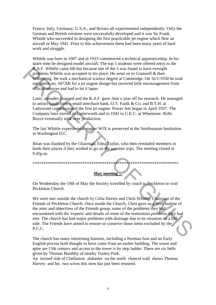France, Italy, Germany, U.S.A., and Britain all experimented independently. Only the German and British versions were successfully developed and it was Sir Frank Whittle who succeeded in designing the first practicable jet engine which flew an aircraft in May 1941. Prior to this achievement there had been many years of hard work and struggle.

Whittle was born in 1907 and in 1923 commenced a technical apprenticeship. In his spare time he designed model aircraft. The top 5 students were offered entry to the R.A.F. Whittle came 6th but because one of the 5 was found to have eyesight problems Whittle was accepted in his place. He went on to Cranwell & then Whittering. He took a mechanical science degree at Cambridge. On 16/1/1930 he took out patent no; 347206 for a jet engine design but received little encouragement from official sources and had to let it lapse.

Later, attitudes changed and the R.A.F. gave .him a year off for research. He managed to attract funds from a small merchant bank, O.T. Faulk & Co, and B.T.H. at Ladywood commissioned the first jet engine. Power Jets began in April 1937. The Company later moved to Lutterworth and in 1942 to G.E.C. at Whetstone. Rolls Royce eventually took over production.

The last Whittle experimental engine WIX is preserved at the Smithsonian Institution in Washington D.C.

Brian was thanked by the Chairman, Edna Taylor, who then reminded members to book their places if they wished to go on the summer trips. The meeting closed at 9.45p.m.

# \*\*\*\*\*\*\*\*\*\*\*\*\*\*\*\*\*\*\*\*\*\*\*\*\*\*\*\*\*\*\*\*\*\*\*\*\*\*\*\*\*\*\*\*\*\*\*\*\*\*\*\*\*\*\*\*\*\*\*\*\*\*\*\*\*\*\*

# **May meeting ...**

On Wednesday the 19th of May the Society travelled by coach to Peckleton to visit Peckleton Church.

We were met outside the church by Celia Davies and Chris Whitby, Chairman of the Friends of Peckleton Church. Once inside the Church, Chris gave us a brief outline of the aims and objectives of the Friends group, some of the problems they had encountered with the 'experts' and details of some of the restoration problems they had met. The church has had major problems with drainage due to its situation on a hillside. The Friends have aimed to restore or conserve those items excluded by the P.C.C. **PAAT:** Whittee can be the theorem is the free swa found to have eyesign the AF-R when<br>the model in the beam summation of the Swarbond of the Swarbond of the<br>summation of the took a mechanical science degree at Cambridge.

The church has many interesting features, including a Norman font and an Early English piscina both thought to have come from an earlier building. The tower and spire are 15th century and access to the tower is by step ladder. There are six bells given by Thomas Boothby of nearby Tooley Park.

An incised slab of Chellaston alabaster on the north chancel wall shows Thomas Harvey and his two wives this item has just been restored.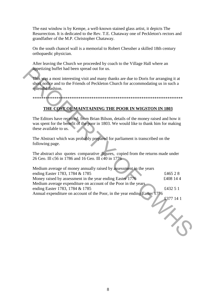The east window is by Kempe, a well-known stained glass artist, it depicts The Resurrection. It is dedicated to the Rev. T.E. Chataway one of Peckleton's rectors and grandfather of the M.P. Christopher Chataway.

On the south chancel wall is a memorial to Robert Chessher a skilled 18th century orthopaedic physician.

After leaving the Church we proceeded by coach to the Village Hall where an appetizing buffet had been spread out for us.

# **THE COST OF MAINTAINING THE POOR IN WIGSTON IN 1803**

| appetizing buffet had been spread out for us.                                                                                                                                                          |           |
|--------------------------------------------------------------------------------------------------------------------------------------------------------------------------------------------------------|-----------|
| This was a most interesting visit and many thanks are due to Doris for arranging it at<br>short notice and to the Friends of Peckleton Church for accommodating us in such a<br>splendid fashion.      |           |
|                                                                                                                                                                                                        |           |
| THE COST OF MAINTAINING THE POOR IN WIGSTON IN 1803                                                                                                                                                    |           |
| The Editors have received, from Brian Bilson, details of the money raised and how it<br>was spent for the benefit of the poor in 1803. We would like to thank him for making<br>these available to us. |           |
| The Abstract which was probably prepared for parliament is transcribed on the<br>following page.                                                                                                       |           |
| The abstract also quotes comparative figures, copied from the returns made under<br>26 Geo. Ill c56 in 1786 and 16 Geo. Ill c40 in 1776                                                                |           |
| Medium average of money annually raised by assessment in the years                                                                                                                                     |           |
| ending Easter 1783, 1784 & 1785                                                                                                                                                                        | £465 28   |
| Money raised by assessment in the year ending Easter 1776                                                                                                                                              | £408 14 4 |
| Medium average expenditure on account of the Poor in the years<br>ending Easter 1783, 1784 & 1785<br>Annual expenditure on account of the Poor, in the year ending Easter 1776                         | £432 5 1  |
|                                                                                                                                                                                                        | £377 14 1 |
|                                                                                                                                                                                                        |           |
|                                                                                                                                                                                                        |           |
|                                                                                                                                                                                                        |           |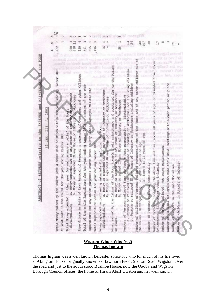| POOR<br>the<br>þ<br>relative to the EXPENSE and MAINTENAMCE<br>1803<br>Ā,<br>III<br>GEO.<br>43<br>ACT of RETURNS<br><b>ABSTR</b>                                                                                                                                           |                |                 |
|----------------------------------------------------------------------------------------------------------------------------------------------------------------------------------------------------------------------------------------------------------------------------|----------------|-----------------|
|                                                                                                                                                                                                                                                                            | ىمە            |                 |
| Easter 1803<br>Total Money raised by the Poor's Rate & other Rate or Rates within the year ending                                                                                                                                                                          | 182            |                 |
| At what Rate in the Pound for the year ending Easter 1803                                                                                                                                                                                                                  |                |                 |
| Money expended OUT of any House of Industry or Morkhouse<br>Money so expended IN any House of Industry or Workhouse<br>that year for maintenance & relief of the Poor;<br>Total Money expended in<br>ā.<br>à.<br>distinguishing                                            | 210<br>360     |                 |
| Law; Removal of Paupers; & expenses of Overseers and other Officers<br>Expenditure in Suits of                                                                                                                                                                             | 120            |                 |
| Total of the whole Expenditure for the year ending Baster 1000 on account of the Poor                                                                                                                                                                                      | 691            |                 |
| Expenditure for any other purposes; Church Rate; County Mate: Mighways; Militia etc                                                                                                                                                                                        | 505            |                 |
| the year ending Easter 1803<br>Total Expenditure within                                                                                                                                                                                                                    | ,196           | σ               |
| so expended OUT of any House of Industry or Workhouse<br>so expended IN any House of Industry or Workhouse<br><b>Eba</b> Poor:<br>materials for employing<br>Money expended in purchasing<br>b. Noney<br>Money<br>a.<br>distinguishing                                     | $\frac{6}{16}$ |                 |
| Money earned by the labour of the Poor towards their maintenance and accounted for to the Pari<br>a. Money so earned OUT of any House of Industry or Workhouse<br>Money so earned IN any House of Industry or Workhouse<br>á.<br>or Place.                                 | 36             |                 |
| Industry or Workhouse; not including children<br>any House of Industry or Workhouse; including children<br>distinguishing<br>Numbers of Persons relieved from the Poor s Rate permanently;<br>any Rouse of<br>đ<br>a. Persons so relieved OUT<br>b. Persons so relieved IN | 24<br>64       |                 |
| g<br>8<br>House and of any other children<br>the<br>relieved permanently out of<br>age<br>from 5 to 14 years of<br>a. Under 5 years of age<br>b.<br>Number of children of Persons<br>the House; distinguishing                                                             | 107            | 罪               |
| Number of Persons relieved occasionally                                                                                                                                                                                                                                    |                | S               |
| labour<br>ŗon<br>disabled<br>ð<br>age,<br>ö<br><b>Bars</b><br>five entries, above<br>other infirmity<br>including the above<br>by permanent illness, or<br>Number of Persons,                                                                                              |                | $\overline{17}$ |
| Number of Persons relieved, not being parishioners                                                                                                                                                                                                                         |                |                 |
| place<br>ð<br>parish<br>in eac<br>meetings<br>Number of FRIENDLY SOCIETIES who hold their usual<br>Number of members in the said Societies                                                                                                                                 | 171            |                 |
| Number of children in Schools of Industry                                                                                                                                                                                                                                  |                |                 |

# **Wigston Who's Who No:5 Thomas Ingram**

Thomas Ingram was a well known Leicester solicitor , who for much of his life lived at Abington House, originally known as Hawthorn Field, Station Road, Wigston. Over the road and just to the south stood Bushloe House, now the Oadby and Wigston Borough Council offices, the home of Hiram Abiff Owston another well known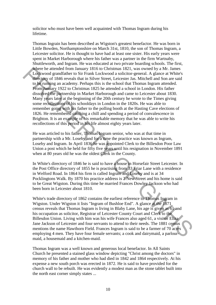solicitor who must have been well acquainted with Thomas Ingram during his lifetime.

Thomas Ingrain has been described as Wigston's greatest benefactor. He was born in Little Bowden, Northamptonshire on March 31st, 1810, the son of Thomas Ingram, a Leicester solicitor. He is thought to have had at least one sister. His early years were spent in Market Harborough where his father was a partner in the firm Wartnaby, Shuttleworth, and Ingram. He was educated at two private boarding schools. The first, where he attended from January 1816 to Christmas 1821, was owned by a Mr. James Lockwood grandfather to Sir Frank Lockwood a solicitor-general. A glance at White's directory of 1846 reveals that in Silver Street, Leicester Jas. Mitchell and Son are said to be running an academy. Perhaps this is the school that Thomas Ingram attended. From January 1922 to Christmas 1825 he attended a school in London. His father dissolved the partnership in Market Harborough and came to Leicester about 1830. Many years later at the beginning of the 20th century he wrote to the Times giving some recollections of his schooldays in London in the 1820s. He was able to remember going with his father to the polling booth at the Hasting Cave elections of 1826. He remembered catching a chill and spending a period of convalescence in Brighton. It is an example of his remarkable memory that he was able to write his recollections of this period in his life almost eighty years later. Where he utterded from January 1816 to Christmas 1821, was owned by a Mr. James<br>
Lockwood grandifather to Sir Frank Lockwood a solicitor-general. A glance at White<br>
directory of 1846 reveals that in Siver Street, Leiceste

He was articled to his father, Thomas Ingram senior, who was at that time in partnership with a Mr. Loseby and for a time the practice was known as Ingram, Loseby and Ingram. In April 1836 he was appointed Clerk to the Billesdon Poor Law Union a post which he held for fifty five years until his resignation in November 1891 when at 80 years old he was the oldest Clerk in the County.

In White's directory of 1846 he is said to have a house in Horsefair Street Leicester. In the Post Office directory of 1855 he is practising from 33 Friar Lane with a residence in Welford Road. In 1864 his firm is called Ingram and Loseby and is at 34 Pocklingtons Walk. By 1870 his practice address is 2 New Street and his home is said to be Great Wigston. During this time he married Frances Dowley Jackson who had been born in Leicester about 1810.

White's trade directory of 1862 contains the earliest reference to Thomas Ingram in Wigston. Under Wigston it lists "Ingram of Bushloe End". A glance at the 1871 census reveals that Thomas Ingram is living in Blaby Lane, his age is given as 61 and his occupation as solicitor, Registrar of Leicester County Court and Clerk to the Billesdon Union. Living with him was his wife Frances also aged 61, a visitor Eliza Jane Jackson of Leicester and four servants to attend to their needs. The 1881 census mentions the name Hawthorn Field. Frances Ingram is said to be a farmer of 70 acres employing 4 men. They have four female servants; a cook and dairymaid, a parlourmaid, a housemaid and a kitchen-maid.

Thomas Ingram was a well known and generous local benefactor. In All Saints Church he presented a stained glass window depicting "Christ among the doctors" in memory of his father and mother who had died in 1842 and 1864 respectively. At his expense a new south porch was erected in 1872. He is said to have provided for the church wall to be rebuilt. He was evidently a modest man as the stone tablet built into the north east corner simply states ...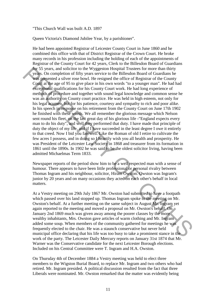"This Church Wall was built A.D. 1897

Queen Victoria's Diamond Jubilee Year, by a parishioner".

He had been appointed Registrar of Leicester County Court in June 1860 and he combined this office with that of District Registrar of the Crown Court. He broke many records in his profession including the holding of each of the appointments of Registrar of the County Court for 42 years, Clerk to the Billesdon Board of Guardians for 55 years, and solicitor to the Wyggeston Hospital Trustees for more than thirty years. On completion of fifty years service to the Billesdon Board of Guardians he was presented a silver rose bowl. He resigned the office of Registrar of the County Court at the age of 95 to give place in his own words "to a younger man". He had had exceptional qualifications for his County Court work. He had long experience of methods of procedure and together with sound legal knowledge and common sense he was an authority on County court practice. He was held in high esteem, not only for his legal acumen, but for his patience, courtesy and sympathy to rich and poor alike. In his speech in response on his retirement from the County Court on June 17th 1902 he finished with these words. We all remember the glorious message which Nelson sent round his fleet, on the last great day of his glorious life -"England expects every man to do his duty", and well they performed that duty. I have made that principle of duty the object of my life, and if I have succeeded in the least degree I owe it entirely to that creed. Now I bid you farewell. Like the Roman of old I retire to cultivate the few acres I possess, and in doing so I heartily wish you all health and prosperity. He was President of the Leicester Law Society in 1868 and treasurer from its formation in 1861 until the 1890s. In 1902 he was said to be the oldest solicitor living, having been admitted Michaelmas Term 1833. For SY sears, and solicitor to the Wyggeston Hospital Tractets for more than thin years. On completion of fifty years service to the Billesdon Board of Guardians he was presented a silver rose bowl. He resigned the office

Newspaper reports of the period show him to be a well respected man with a sense of humour. There appears to have been little professional or personal rivalry between Thomas Ingram and his neighbour, solicitor, Hiram Owston. Owston was Ingram's junior by 20 years and on many occasions they acted on each other's behalf in local matters.

At a Vestry meeting on 29th July 1867 Mr. Owston had submitted to have a footpath which passed over his land stopped up. Thomas Ingram spoke to the meeting on Mr. Owston's behalf. At a further meeting on the same subject in August Mr. Ingram yet again reported to the meeting and moved a proposal on Mr. Owston's behalf. On January 2nd 1869 much was given away among the poorer classes by the more wealthy inhabitants, Mrs. Owston gave articles of warm clothing and Mr. Ingram added some soup. When members of the community gathered for meetings he was frequently elected to the chair. He was a staunch conservative but never held municipal office declaring that his life was too busy to take a prominent stance in the work of the party. The Leicester Daily Mercury reports on January 31st 1874 that Mr. Warner was the Conservative candidate for the next Leicester Borough elections. Included on his Central Committee were T. Ingram and H.A. Owston.

On Thursday 4th of December 1884 a Vestry meeting was held to elect three members to the Wigston Burial Board, to replace Mr. Ingram and two others who had retired. Mr. Ingram presided. A political discussion resulted from the fact that three Liberals were nominated. Mr. Owston remarked that the matter was evidently being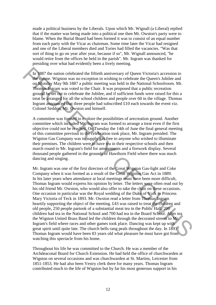made a political business by the Liberals. Upon which Mr. Wignall (a Liberal) replied that if the matter was being made into a political one then Mr. Owston's party were to blame. When the Burial Board had been formed it was to consist of an equal number from each party with the Vicar as chairman. Some time later the Vicar had resigned and one of the Liberal members died and Tories had filled the vacancies. "Was that sort of thing to go on year after year, because if so", Mr. Wignall announced, "he would retire from the offices he held in the parish". Mr. Ingram was thanked for presiding over what had evidently been a lively meeting.

In 1887 the nation celebrated the fiftieth anniversary of Queen Victoria's accession to the throne. Wigston was no exception in wishing to celebrate the Queen's Jubilee and on Monday May 9th 1887 a public meeting was held in the National Schoolroom. Mr. Thomas Ingram was voted to the Chair. It was proposed that a public recreation ground be set out to celebrate the Jubilee, and if sufficient funds were raised for this a treat be arranged for all the school children and people over 60 in the village. Thomas Ingram announced that three people had subscribed £10 each towards the event viz. Colonel Seddon, Mr. Owston and himself.

A committee was formed to explore the possibilities of arecreation ground. Another committee which included Mr. Ingram was formed to arrange a treat even if the first objective could not be reached. On Tuesday the 14th of June the final general meeting of this committee previous to the celebration took place, Mr. Ingram presided. The Wigston Gas Company was to supply gas free to anyone who wished to illuminate their premises. The children were to have tea in their respective schools and then march round to Mr. Ingram's field for amusements and a firework display. Several thousand people gathered in the grounds of Hawthorn Field where there was much dancing and singing.

Mr. Ingram was one of the first directors of the Great Wigston Gas-light and Coke Company when it was formed as a result of the Great Wigston Gas Act in 1889. In his later years when attendance at local meetings must have been more difficult, Thomas Ingram would express his opinion by letter. The letters were often read out by his old friend Mr. Owston, who would also offer to take the chair on these occasions. One occasion in particular was the Royal wedding of the Duke of York to Princess Mary Victoria of Teck in 1893. Mr. Owston read a letter from Thomas Ingram heartily supporting the object of the meeting. £43 was raised to treat the children and old people, 250 people partook of a substantial meat tea in the Public Hall, 200 children had tea in the National School and 700 had tea in the Board School. After tea the Wigston United Brass Band led the children through the decorated streets to Mr. Ingram's field where races and other games took place. Dancing was kept up with great spirit until quite late. The church bells rang peals throughout the day. In 1893 Thomas Ingram would have been 83 years old what pleasure he must have got from watching this spectacle from his home. In 1887 the nation celebrated the fiftieth anniversary of Queen Victoria's accession to<br>
the inhere. Wigston was no exception in wishing to celebrate the Queen Michies and<br>
on Morday May 9th 1887 a public meeting was held

Throughout his life he was committed to the Church. He was a member of the Archdeaconal Board for Church Extension. He had held the office of churchwarden at Wigston on several occasions and was churchwarden at St. Martins, Leicester from 1851-1853. He had also been Vestry clerk there for many years. Thomas Ingram contributed much to the life of Wigston but by far his most generous support in his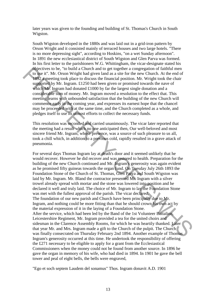later years was given to the founding and building of St. Thomas's Church in South Wigston.

South Wigston developed in the 1880s and was laid out in a grid-iron pattern by Orson Wright and it consisted mainly of terraced houses and two large hotels. "There is no more depressing sight", according to Hoskins, "on a wet Sunday afternoon". In 1891 the new ecclesiastical district of South Wigston and Glen Parva was formed. In his first letter to the parishioners W.G. Whittingham, the vicar-designate stated his objectives to be, "to build a Church and to get together a congregation of faithful men to use it". Mr. Orson Wright had given land as a site for the new Church. At the end of 1892 a meeting took place to discuss the financial position. Mr. Wright took the chair supported by Mr. Ingram. £1250 had been given or promised towards the nave of which Mr. Ingram had donated £1000 by far the largest single donation and a considerable sum of money. Mr. Ingram moved a resolution to the effect that. This meeting learns with unbounded satisfaction that the building of the new Church will commence early in the coming year, and expresses its earnest hope that the chancel may be proceeded with at the same time, and the Church completed as a whole, and pledges itself to use its utmost efforts to collect the necessary funds.

This resolution was seconded and carried unanimously. The vicar later reported that the meeting had a result which no one anticipated then, Our well-beloved and most sincere friend Mr. Ingram, whose presence, was a source of such pleasure to us all, took a chill which, in addition to a previous cold, rapidly resulted in a grave attack of pneumonia.

For several days Thomas Ingram lay at death's door and it seemed unlikely that he would recover. However he did recover and was restored to health. Preparation for the building of the new Church continued and Mr. Ingram's generosity was again evident as he promised fifty guineas towards the organ fund. On Tuesday July 26th 1893 the Foundation Stone of the Church of St. Thomas, Glen Parva and South Wigston was laid by Mr. Ingram. Mr. Bland the contractor presented Mr. Ingram with a silver trowel already spread with mortar and the stone was lowered into position and he declared it well and truly laid. The choice of Mr. Ingram to lay the Foundation Stone was met with the fullest approval of the parish. The vicar declared, The foundation of our new parish and Church have been principally due to Mr. Ingram, and nothing could be more fitting than that he should crown his own act by the material expression of it in the laying of a Foundation Stone. After the service, which had been led by the Band of the 1st Volunteer Battalion, Leicestershire Regiment, Mr. Ingram provided a tea for the united choirs and sidesman in the Clarence Assembly Rooms, for which he was heartily thanked. Later that year Mr. and Mrs. Ingram made a gift to the Church of the pulpit. The Church was finally consecrated on Thursday February 2nd 1894. Another example of Thomas Ingram's generosity occurred at this time. He undertook the responsibility of offering the £271 necessary to be eligible to apply for a grant from the Ecclesiastical Commissioners when the money could not be found from another source. In 1896 he gave the organ in memory of his wife, who had died in 1894. In 1901 he gave the bell tower and peal of eight bells, the bells were engraved, bigetives to bo, "to build a Church and to get together a congregation of faithful men<br>
to use it". Mr. Orson Wright had given land as a site for the new Church. At the end of<br>
1892 givenetig took place to discuss the fin

"Ego et soch septem Laudem del sonamus" Thos. Ingram donavit A.D. 1901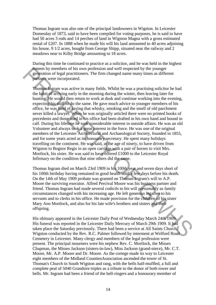Thomas Ingram was also one of the principal landowners in Wigston. In Leicester Domesday of 1873, said to have been compiled for voting purposes, he is said to have had 50 acres 3 rods and 14 perches of land in Wigston Magna with a gross estimated rental of £207. In 1888 when he made his will his land amounted to 40 acres adjoining his house, 9 1/2 acres, bought from George Shipp, situated near the railway and 2 meadows near to Kilby Bridge amounting to 18 acres.

During this time he continued to practice as a solicitor, and he was held in the highest esteem by members of his own profession and well respected by the younger generation of legal practitioners. The firm changed name many times as different partners were incorporated.

Thomas Ingram was active in many fields. Whilst he was a practising solicitor he had the habit of arriving early in the morning during the winter, then leaving later for hunting. He would then return to work at dusk and continue working into the evening, expecting his staff to do the same. He gave much advice to younger members of his office, he was fond of saying that whisky, smoking and the smell of old parchment never killed a lawyer. When he was originally articled there were no printed books of precedents and those used in his office had been drafted in his own hand and bound in calf. During his lifetime he took considerable interest in outside affairs. He was an old Volunteer and always took a great interest in the force. He was one of the original members of the Leicester Architectural and Archaeological Society, founded in 1855, and for some years acted as its honourary secretary. He spent many holidays travelling on the continent. He was said, at the age of ninety, to have driven from Wigston to Bognor Regis in an open carriage with a pair of horses to visit Mrs. Mortlock, his sister. He was said to have offered £1000 to the Leicester Royal Infirmary on the condition that nine others did the same. Second by members of his sources on and well respected by the younger<br>
generation of legal practitioners. The finn changed ange many times as different<br>
partners were incorporated.<br>
Thomas ingram was sactive in many fields

Thomas Ingram died on March 23rd 1909 in his 100th year and seven days short of his 100th birthday having remained in good health until a few days before his death. On the 14th of May 1909 probate was granted on Thomas Ingram's will to A.P. Moore the surviving executor. Alfred Percival Moore was his business partner and friend. Thomas Ingram had made several codicils to his will presumably as family circumstances changed with his increasing age. He left generous legacies to his servants and to clerks in his office. He made provision for the children of his sister Mary Ann Mortlock, and also for his late wife's brothers and sisters and their offspring.

His obituary appeared in the Leicester Daily Post of Wednesday March 24th 1909. His funeral was reported in the Leicester Daily Mercury of March 29th 1909. It had taken place the Saturday previously. There had been a service at All Saints Church, Wigston conducted by the Rev. R.C. Palmer followed by interment at Welford Road Cemetery in Leicester. Many clergy and members of the legal profession were present. The principal mourners were his nephew Rev. C. Mortlock, the Misses Chapman, the Misses Jackson (sisters-in-law), Miss Jackson (grand-niece), Mr. C.T. Moore, Mr. A.P. Moore and Dr. Moore. As the cortege made its way to Leicester eight members of the Midland CountiesAssociation ascended the tower of St. Thomas's Church in South Wigston and rang, with the bells half-muffled, a full and complete peal of 5040 Grandsire triples as a tribute to the donor of both tower and bells. Mr. Ingram had been a friend of the bell-ringers and a honourary member of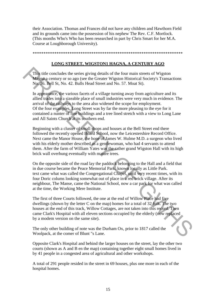their Association. Thomas and Frances did not have any children and Hawthorn Field and its grounds came into the possession of his nephew The Rev. C.F. Mortlock. (This months Who's Who has been researched in part by Chris Smart for her M.A. Course at Loughborough University).

\*\*\*\*\*\*\*\*\*\*\*\*\*\*\*\*\*\*\*\*\*\*\*\*\*\*\*\*\*\*\*\*\*\*\*\*\*\*\*\*\*\*\*\*\*\*\*\*\*\*\*\*\*\*\*\*\*\*\*\*\*\*\*\*\*\*\*\*\*

# **LONG STREET, WIGSTON1 HAGNA, A CENTURY AGO**

This title concludes the series giving details of the four main streets of Wigston Magna a century or so ago (see the Greater Wigston Historical Society's Transactions No. 36. Bell St, No. 42. Bulls Head Street and No. 57. Moat St).

In appearance, the various facets of a village turning away from agriculture and its allied trades into a sizeable place of small industries were very much in evidence. The arrival of the railways to the area also widened the scope for employment. Of the four examples, Long Street was by far the more pleasing to the eye for it contained a nunter of fine buildings and a tree lined stretch with a view to Long Lane and All Saints Church at its southern end. This title concludes the series giving details of the four main streets of Wigston<br>Magna century or so ago (see the Greater Wigston Historical Society's Transactions<br>No  $\overline{36}$ . Bell St, No. 42. Bulls Head Street and No

Beginning with a cluster of small shops and houses at the Bell Street end there followed the recently opened Board School, now the Leicestershire Record Office. Next came the Manor House, the hone of James W. Hulme M.D. a surgeon who lived with his elderly mother described as a gentlewoman, who had 4 servants to attend them. After the farm of William Yates was the rather grand Wigston Hall with its high brick wall overhung eventually with mature trees.

On the opposite side of the road lay the paddock belonging to the Hall and a field that in due course became the Peace Memorial Park, known locally as Little Park. text came what was called the Congregational Chapel, until very recent times, with its four Doric colums looking somewhat out of place in a red brick village. After its neighbour, The Manse, came the National School, now a car park for what was called at the time, the Working Mere Institute.

The first of three Courts followed, the one at the end of Willow Place had five dwellings (shown by the letter C on the map) homes for a total of 32 folk. The two houses at the end of this track, Willow Cottages, are not taken into this record. Then came Clark's Hospital with all eleven sections occupied by the elderly (now replaced by a modem version on the same site).

The only other building of note was the Durham Ox, prior to 1817 called the Woolpack, at the comer of Blunt "s Lane.

Opposite Clark's Hospital and behind the larger houses on the street, lay the other two courts (shown as A and B en the map) containing together eight small homes lived in by 41 people in a congested area of agricultural and other workshops.

A total of 291 people resided in the street in 69 houses, plus one more in each of the hospital homes.